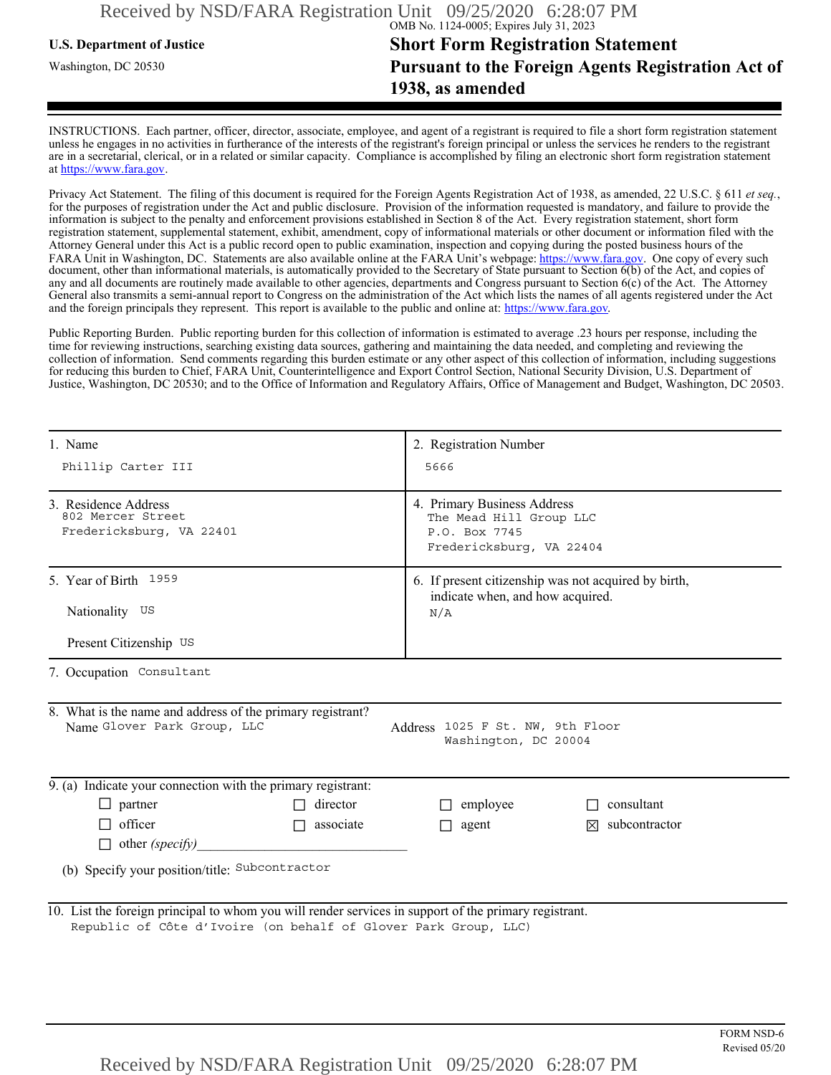# **U.S. Department of Justice Short Form Registration Statement** Washington, DC 20530 **Pursuant to the Foreign Agents Registration Act of 1938, as amended**

INSTRUCTIONS. Each partner, officer, director, associate, employee, and agent of a registrant is required to file a short form registration statement unless he engages in no activities in furtherance of the interests of the registrant's foreign principal or unless the services he renders to the registrant are in a secretarial, clerical, or in a related or similar capacity. Compliance is accomplished by filing an electronic short form registration statement at https://www.fara.gov.

Privacy Act Statement. The filing of this document is required for the Foreign Agents Registration Act of 1938, as amended, 22 U.S.C. § 611 *et seq.*, for the purposes of registration under the Act and public disclosure. Provision of the information requested is mandatory, and failure to provide the information is subject to the penalty and enforcement provisions established in Section 8 of the Act. Every registration statement, short form registration statement, supplemental statement, exhibit, amendment, copy of informational materials or other document or information filed with the Attorney General under this Act is a public record open to public examination, inspection and copying during the posted business hours of the FARA Unit in Washington, DC. Statements are also available online at the FARA Unit's webpage: https://www.fara.gov. One copy of every such document, other than informational materials, is automatically provided to the Secretary of State pursuant to Section 6(b) of the Act, and copies of any and all documents are routinely made available to other agencies, departments and Congress pursuant to Section 6(c) of the Act. The Attorney General also transmits a semi-annual report to Congress on the administration of the Act which lists the names of all agents registered under the Act and the foreign principals they represent. This report is available to the public and online at: https://www.fara.gov.

Public Reporting Burden. Public reporting burden for this collection of information is estimated to average .23 hours per response, including the time for reviewing instructions, searching existing data sources, gathering and maintaining the data needed, and completing and reviewing the collection of information. Send comments regarding this burden estimate or any other aspect of this collection of information, including suggestions for reducing this burden to Chief, FARA Unit, Counterintelligence and Export Control Section, National Security Division, U.S. Department of Justice, Washington, DC 20530; and to the Office of Information and Regulatory Affairs, Office of Management and Budget, Washington, DC 20503.

| 1. Name<br>Phillip Carter III                                                                         |                                                                 | 2. Registration Number<br>5666<br>4. Primary Business Address<br>The Mead Hill Group LLC<br>P.O. Box 7745<br>Fredericksburg, VA 22404<br>6. If present citizenship was not acquired by birth,<br>indicate when, and how acquired.<br>N/A |                           |                   |
|-------------------------------------------------------------------------------------------------------|-----------------------------------------------------------------|------------------------------------------------------------------------------------------------------------------------------------------------------------------------------------------------------------------------------------------|---------------------------|-------------------|
| 3. Residence Address<br>802 Mercer Street<br>Fredericksburg, VA 22401                                 |                                                                 |                                                                                                                                                                                                                                          |                           |                   |
| 5. Year of Birth 1959<br>Nationality US<br>Present Citizenship US                                     |                                                                 |                                                                                                                                                                                                                                          |                           |                   |
| 7. Occupation Consultant                                                                              |                                                                 |                                                                                                                                                                                                                                          |                           |                   |
| 8. What is the name and address of the primary registrant?<br>Name Glover Park Group, LLC             |                                                                 | Address 1025 F St. NW, 9th Floor<br>Washington, DC 20004                                                                                                                                                                                 |                           |                   |
| 9. (a) Indicate your connection with the primary registrant:                                          |                                                                 |                                                                                                                                                                                                                                          |                           |                   |
| $\Box$ partner                                                                                        | $\Box$ director                                                 | $\Box$ employee                                                                                                                                                                                                                          | $\Box$ consultant         |                   |
| $\Box$ officer                                                                                        | $\Box$ associate                                                | $\Box$ agent                                                                                                                                                                                                                             | $\boxtimes$ subcontractor |                   |
|                                                                                                       | $\Box$ other (specify)                                          |                                                                                                                                                                                                                                          |                           |                   |
| (b) Specify your position/title: Subcontractor                                                        |                                                                 |                                                                                                                                                                                                                                          |                           |                   |
| 10. List the foreign principal to whom you will render services in support of the primary registrant. | Republic of Côte d'Ivoire (on behalf of Glover Park Group, LLC) |                                                                                                                                                                                                                                          |                           | <b>FORM NSD-6</b> |
|                                                                                                       | Received by NSD/FARA Registration Unit 09/25/2020 6:28:07 PM    |                                                                                                                                                                                                                                          |                           | Revised 05/20     |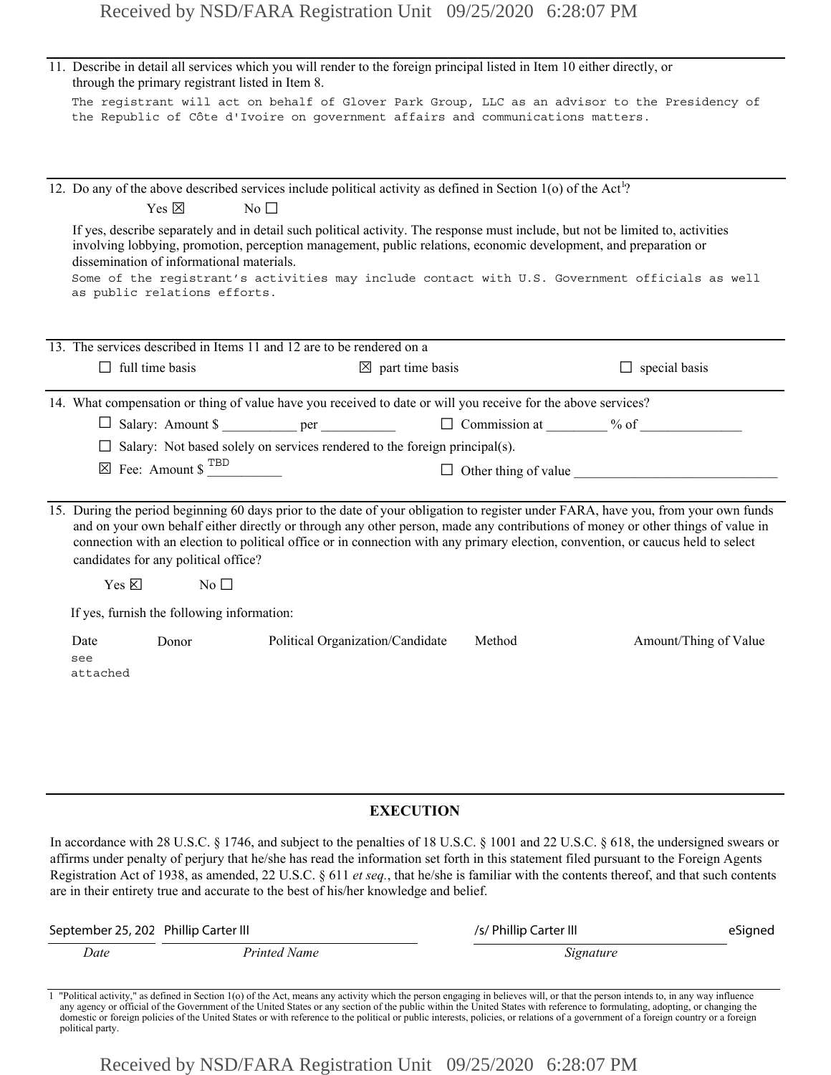|                                                                                              |                                                               | Received by NSD/FARA Registration Unit 09/25/2020 6:28:07 PM                                                                                                                                                |                             |        |                                                                                                                                                                                                                                                                                                                                                                                                                                    |
|----------------------------------------------------------------------------------------------|---------------------------------------------------------------|-------------------------------------------------------------------------------------------------------------------------------------------------------------------------------------------------------------|-----------------------------|--------|------------------------------------------------------------------------------------------------------------------------------------------------------------------------------------------------------------------------------------------------------------------------------------------------------------------------------------------------------------------------------------------------------------------------------------|
| through the primary registrant listed in Item 8.                                             |                                                               | 11. Describe in detail all services which you will render to the foreign principal listed in Item 10 either directly, or<br>the Republic of Côte d'Ivoire on government affairs and communications matters. |                             |        | The registrant will act on behalf of Glover Park Group, LLC as an advisor to the Presidency of                                                                                                                                                                                                                                                                                                                                     |
| Yes $\boxtimes$<br>dissemination of informational materials.<br>as public relations efforts. | No $\square$                                                  | 12. Do any of the above described services include political activity as defined in Section 1(o) of the Act <sup>1</sup> ?                                                                                  |                             |        | If yes, describe separately and in detail such political activity. The response must include, but not be limited to, activities<br>involving lobbying, promotion, perception management, public relations, economic development, and preparation or<br>Some of the registrant's activities may include contact with U.S. Government officials as well                                                                              |
| $\Box$ full time basis                                                                       |                                                               | 13. The services described in Items 11 and 12 are to be rendered on a                                                                                                                                       | $\boxtimes$ part time basis |        | $\Box$ special basis                                                                                                                                                                                                                                                                                                                                                                                                               |
|                                                                                              | $\boxtimes$ Fee: Amount \$ $^{TBD}$                           | 14. What compensation or thing of value have you received to date or will you receive for the above services?<br>$\Box$ Salary: Not based solely on services rendered to the foreign principal(s).          |                             |        |                                                                                                                                                                                                                                                                                                                                                                                                                                    |
| Yes $\boxtimes$<br>If yes, furnish the following information:<br>Date<br>see<br>attached     | candidates for any political office?<br>No $\square$<br>Donor | Political Organization/Candidate                                                                                                                                                                            |                             | Method | 15. During the period beginning 60 days prior to the date of your obligation to register under FARA, have you, from your own funds<br>and on your own behalf either directly or through any other person, made any contributions of money or other things of value in<br>connection with an election to political office or in connection with any primary election, convention, or caucus held to select<br>Amount/Thing of Value |
|                                                                                              |                                                               |                                                                                                                                                                                                             |                             |        |                                                                                                                                                                                                                                                                                                                                                                                                                                    |

## **EXECUTION**

In accordance with 28 U.S.C. § 1746, and subject to the penalties of 18 U.S.C. § 1001 and 22 U.S.C. § 618, the undersigned swears or affirms under penalty of perjury that he/she has read the information set forth in this statement filed pursuant to the Foreign Agents Registration Act of 1938, as amended, 22 U.S.C. § 611 *et seq.*, that he/she is familiar with the contents thereof, and that such contents are in their entirety true and accurate to the best of his/her knowledge and belief.

| September 25, 202 Phillip Carter III |              | /s/ Phillip Carter III                                                                                                                                 | eSigned |
|--------------------------------------|--------------|--------------------------------------------------------------------------------------------------------------------------------------------------------|---------|
| Date                                 | Printed Name | Signature                                                                                                                                              |         |
|                                      |              | - "Delkiel eniske" er 145.01 in Oenier 170 efter Antonier en eniskesslich the samme security in heliosophical material security in the samme influence |         |

Political activity," as defined in Section 1(o) of the Act, means any activity which the person engaging in believes will, or that the person intends to, in any way influence any agency or official of the Government of the domestic or foreign policies of the United States or with reference to the political or public interests, policies, or relations of a government of a foreign country or a foreign political party.

Received by NSD/FARA Registration Unit 09/25/2020 6:28:07 PM